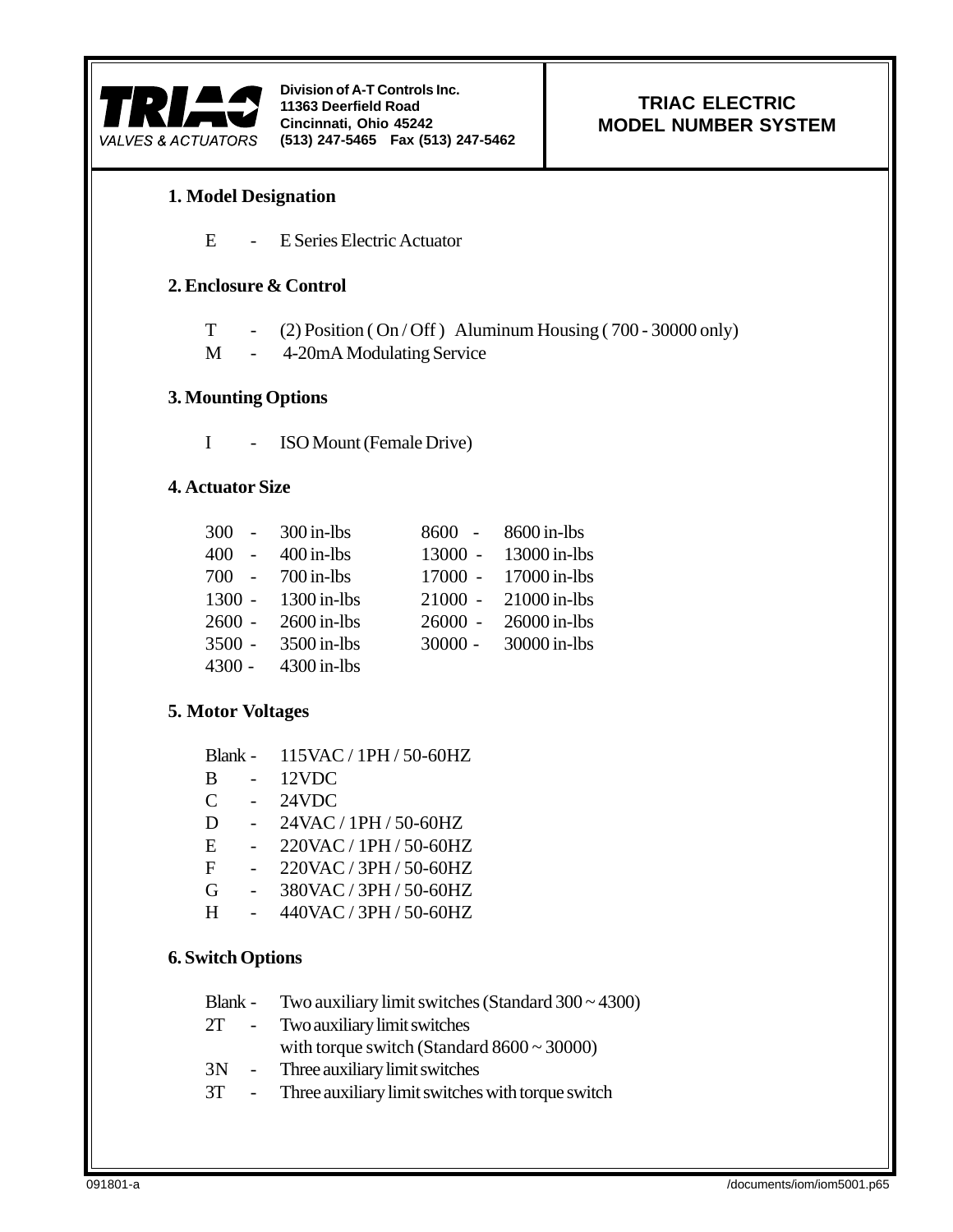

**Division of A-T Controls Inc. 11363 Deerfield Road Cincinnati, Ohio 45242 (513) 247-5465 Fax (513) 247-5462**

## **TRIAC ELECTRIC MODEL NUMBER SYSTEM**

## **1. Model Designation**

E - E Series Electric Actuator

#### **2. Enclosure & Control**

- T (2) Position ( $On / Off$ ) Aluminum Housing (700 30000 only)
- M 4-20mA Modulating Service

#### **3. Mounting Options**

I - ISO Mount (Female Drive)

## **4. Actuator Size**

| $300 -$ | $300$ in-lbs       | $8600 -$  | $8600$ in-lbs        |
|---------|--------------------|-----------|----------------------|
|         | 400 - 400 in-lbs   |           | 13000 - 13000 in-lbs |
|         | 700 - 700 in-lbs   |           | 17000 - 17000 in-lbs |
|         | 1300 - 1300 in-lbs | $21000 -$ | $21000$ in-lbs       |
| 2600 -  | $2600$ in-lbs      | $26000 -$ | $26000$ in-lbs       |
| 3500 -  | $3500$ in-lbs      | $30000 -$ | 30000 in-lbs         |
| 4300 -  | $4300$ in-lbs      |           |                      |

#### **5. Motor Voltages**

| Blank - | $115$ VAC / 1PH / 50-60HZ |
|---------|---------------------------|
|         |                           |

- B 12VDC
- C 24VDC
- D 24VAC / 1PH / 50-60HZ
- E 220VAC / 1PH / 50-60HZ
- F 220VAC / 3PH / 50-60HZ
- G 380VAC / 3PH / 50-60HZ
- H 440VAC / 3PH / 50-60HZ

#### **6. Switch Options**

- Blank Two auxiliary limit switches (Standard 300 ~ 4300)
- 2T Two auxiliary limit switches
	- with torque switch (Standard 8600 ~ 30000)
- 3N Three auxiliary limit switches
- 3T Three auxiliary limit switches with torque switch